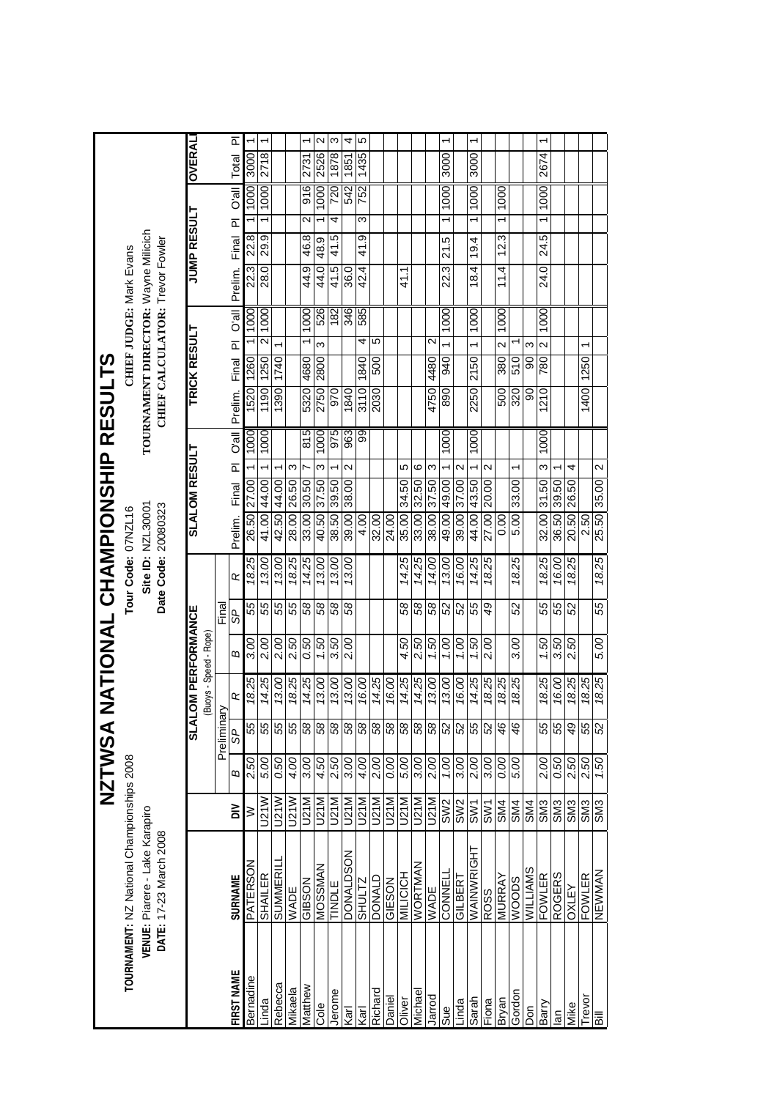|                |                                                          |                 | <b>NZTWSA</b> |                | NATIONAL CHAMPIONSHIP RESULTS |      |                |       |                                          |                      |                         |                         |              |                                  |           |                                                                        |                    |                         |                         |               |                         |
|----------------|----------------------------------------------------------|-----------------|---------------|----------------|-------------------------------|------|----------------|-------|------------------------------------------|----------------------|-------------------------|-------------------------|--------------|----------------------------------|-----------|------------------------------------------------------------------------|--------------------|-------------------------|-------------------------|---------------|-------------------------|
|                | TOURNAMENT: NZ National Championships 2008               |                 |               |                |                               |      |                |       | Tour Code: 07NZL16                       |                      |                         |                         |              |                                  |           | CHIEF JUDGE: Mark Evans                                                |                    |                         |                         |               |                         |
|                | VENUE: Piarere - Lake Karapiro<br>DATE: 17-23 March 2008 |                 |               |                |                               |      |                |       | Site ID: NZL30001<br>Date Code: 20080323 |                      |                         |                         |              |                                  |           | TOURNAMENT DIRECTOR: Wayne Milicich<br>CHIEF CALCULATOR: Trevor Fowler |                    |                         |                         |               |                         |
|                |                                                          |                 |               | <b>IVTS</b>    | OM PERFORMANCE                |      |                |       |                                          | <b>SLALOM RESULT</b> |                         |                         | TRICK RESULT |                                  |           |                                                                        | <b>JUMP RESULT</b> |                         |                         | <b>OVERAL</b> |                         |
|                |                                                          |                 |               | Preliminary    | Buoys - Speed - Rope)         |      | Final          |       |                                          |                      |                         |                         |              |                                  |           |                                                                        |                    |                         |                         |               |                         |
| FIRST NAME     | <b>SURNAME</b>                                           | $\geq$          | Б             | dS             | ĸ                             | ω    | 9S             | œ     | Prelim.                                  | Final                | $\overline{\mathbf{r}}$ | <b>D</b> <sup>all</sup> | Prelim.      | $\overline{\mathbf{r}}$<br>Final | lle,O     | Prelim.                                                                | Final              | $\overline{\mathbb{L}}$ | <b>IIP</b> <sub>O</sub> | Total         | $\overline{\mathbb{L}}$ |
| Bernadine      | PATERSON                                                 | ≥               | 2.50          | 55             | 18.25                         | 3.00 | 55             | 18.25 | 26.50                                    | 27.00                |                         | 1000                    | 1520         | 1260                             | 1000      | 22.3                                                                   | 22.8               |                         | 1000                    | 3000          |                         |
| _inda          | SHAILER                                                  | U21W            | 5.00          | 55             | 14.25                         | 2.00 | 55             | 13.00 | 41.00                                    | 44.00                |                         | 1000                    | 1190         | 1250                             | 1000<br>2 | 28.0                                                                   | 29.9               |                         | 1000                    | 2718          |                         |
| Rebecca        | SUMMERI                                                  | U21W            | 0.50          | 55             | 13.00                         | 2.00 | 55             | 13.00 | 42.50                                    | 44.00                |                         |                         | 1390         | 1740                             |           |                                                                        |                    |                         |                         |               |                         |
| Mikaela        | WADE                                                     | U21W            | 4.00          | 55             | 18.25                         | 2.50 | 55             | 18.25 | 28.00                                    | 26.50                | ω                       |                         |              |                                  |           |                                                                        |                    |                         |                         |               |                         |
| Matthew        | GIBSON                                                   | U21M            | 3.00          | 58             | 14.25                         | 0.50 | 89             | 14.25 | 33.00                                    | 30.50                |                         | 815                     | 5320         | 4680                             | 1000      | 44.9                                                                   | 46.8               | Z                       | 916                     | 2731          | ↽                       |
| <b>Cole</b>    | MOSSMAN                                                  | U21M            | 4.50          | 58             | 13.00                         | 1.50 | 89             | 13.00 | 40.50                                    | 37.50                | ო                       | 1000                    | 2750         | ო<br>2800                        | 526       | 44.0                                                                   | 48.9               |                         | 1000                    | 2526          | $\mathbf{\Omega}$       |
| lerome         | TINDLE                                                   | U21M            | 2.50          | 58             | 13.00                         | 3.50 | 89             | 13.00 | 38.50                                    | 39.50                |                         | 975                     | 970          |                                  | 182       | 41.5                                                                   | 41.5               | 4                       | 720                     | 1878          | ω                       |
| ्<br>वर्       | <b>DONALDSON</b>                                         | U21M            | 3.00          | 58             | 13.00                         | 2.00 | 8              | 13.00 | 39.00                                    | 38.00                | $\mathbf{\Omega}$       | 963                     | 1840         |                                  | 346       | 36.0                                                                   |                    |                         | 542                     | 1851          | 4                       |
| <b>Karl</b>    | SHULTZ                                                   | U21M            | 4.00          | 58             | 16.00                         |      |                |       | 4.00                                     |                      |                         | 99                      | 3110         | 1840                             | 585<br>4  | 42.4                                                                   | 41.9               | ω                       | 752                     | 1435          | Ю                       |
| Richard        | DONALD                                                   | U21M            | 2.00          | 58             | 14.25                         |      |                |       | 32.00                                    |                      |                         |                         | 2030         | 500                              | 5         |                                                                        |                    |                         |                         |               |                         |
| Daniel         | GIESON                                                   | U21M            | 0.00          | 58             | 16.00                         |      |                |       | 24.00                                    |                      |                         |                         |              |                                  |           |                                                                        |                    |                         |                         |               |                         |
| Oliver         | MILICICH                                                 | U21M            | 5.00          | 58             | 14.25                         | 4.50 | 8              | 14.25 | 35.00                                    | 34.50                | ю                       |                         |              |                                  |           | 41.1                                                                   |                    |                         |                         |               |                         |
| Michael        | WORTMAN                                                  | U21M            | 3.00          | 58             | 14.25                         | 2.50 | 89             | 14.25 | 33.00                                    | 32.50                | ဖ                       |                         |              |                                  |           |                                                                        |                    |                         |                         |               |                         |
| Jarrod         | WADE                                                     | <b>J21M</b>     | 2.00          | 58             | 13.00                         | 1.50 | 58             | 14.00 | 38.00                                    | 37.50                | ო                       |                         | 4750         | $\sim$<br>4480                   |           |                                                                        |                    |                         |                         |               |                         |
| Sue            | CONNELL                                                  | SW <sub>2</sub> | 1.00          | S <sub>2</sub> | 13.00                         | 00'  | 8              | 13.00 | 49.00 49.00                              |                      |                         | 1000                    | 890          | 940                              | 1000      | 22.3                                                                   | 21.5               |                         | 1000                    | 3000          | ↽                       |
| Linda          | GILBERT                                                  | SW <sub>2</sub> | 3.00          | 52             | 16.00                         | 00'  | 8              | 16.00 | 39.00                                    | 37.00                | $\mathbf{\sim}$         |                         |              |                                  |           |                                                                        |                    |                         |                         |               |                         |
| Sarah          | WAINWRIGHT                                               | SW <sub>1</sub> | 2.00          | 55             | 14.25                         | 1.50 | 55             | 14.25 | 44.00                                    | 43.50                |                         | 1000                    | 2250         | 2150                             | 1000      | 18.4                                                                   | 19.4               |                         | 1000                    | 3000          | ↽                       |
| Fiona          | RO <sub>S</sub> S                                        | SW <sub>1</sub> | 3.00          | S              | 18.25                         | 2.00 | \$             | 18.25 | 27.00                                    | 20.00                | $\mathbf{\Omega}$       |                         |              |                                  |           |                                                                        |                    |                         |                         |               |                         |
| Bryan          | MURRAY                                                   | SM4             | 0.00          | 46             | 18.25                         |      |                |       | 0.00                                     |                      |                         |                         | 500          | $\sim$<br>380                    | 1000      | 11.4                                                                   | 12.3               |                         | 1000                    |               |                         |
| Gordon         | WOODS                                                    | SM4             | 5.00          | 46             | 18.25                         | 3.00 | 8              | 18.25 | 5.00                                     | 33.00                |                         |                         | 320          | 510                              |           |                                                                        |                    |                         |                         |               |                         |
| δñ             | WILLIAMS                                                 | SM4             |               |                |                               |      |                |       |                                          |                      |                         |                         | 90           | ო<br>8                           |           |                                                                        |                    |                         |                         |               |                         |
| Barry          | FOWLER                                                   | SM <sub>3</sub> | 2.00          | 55             | 18.25                         | 1.50 | 55             | 18.25 | 32.00                                    | 31.50                | ო                       | 1000                    | 1210         | $\sim$<br>780                    | 1000      | 24.0                                                                   | 24.5               | $\overline{ }$          | 1000                    | 2674          |                         |
| $\overline{a}$ | <b>ROGERS</b>                                            | SM <sub>3</sub> | 0.50          | 55             | 16.00                         | 3.50 | 55             | 16.00 | 36.50 39.50                              |                      |                         |                         |              |                                  |           |                                                                        |                    |                         |                         |               |                         |
| Mike           | OXLEY                                                    | SM <sub>3</sub> | 2.50          | 49             | 18.25                         | 2.50 | S <sub>2</sub> | 18.25 | 20.50                                    | 26.50                | 4                       |                         |              |                                  |           |                                                                        |                    |                         |                         |               |                         |
| Trevor         | <b>FOWLER</b>                                            | SM <sub>3</sub> | 2.50          | 55             | 18.25                         |      |                |       | 2.50                                     |                      |                         |                         | 1400         | ٣<br>1250                        |           |                                                                        |                    |                         |                         |               |                         |
| <b>Bill</b>    | NEWMAN                                                   | SM <sub>3</sub> | 1.50          | S <sub>2</sub> | 18.25                         | 5.00 | 55             | 18.25 | 25.50 35.00                              |                      | 2                       |                         |              |                                  |           |                                                                        |                    |                         |                         |               |                         |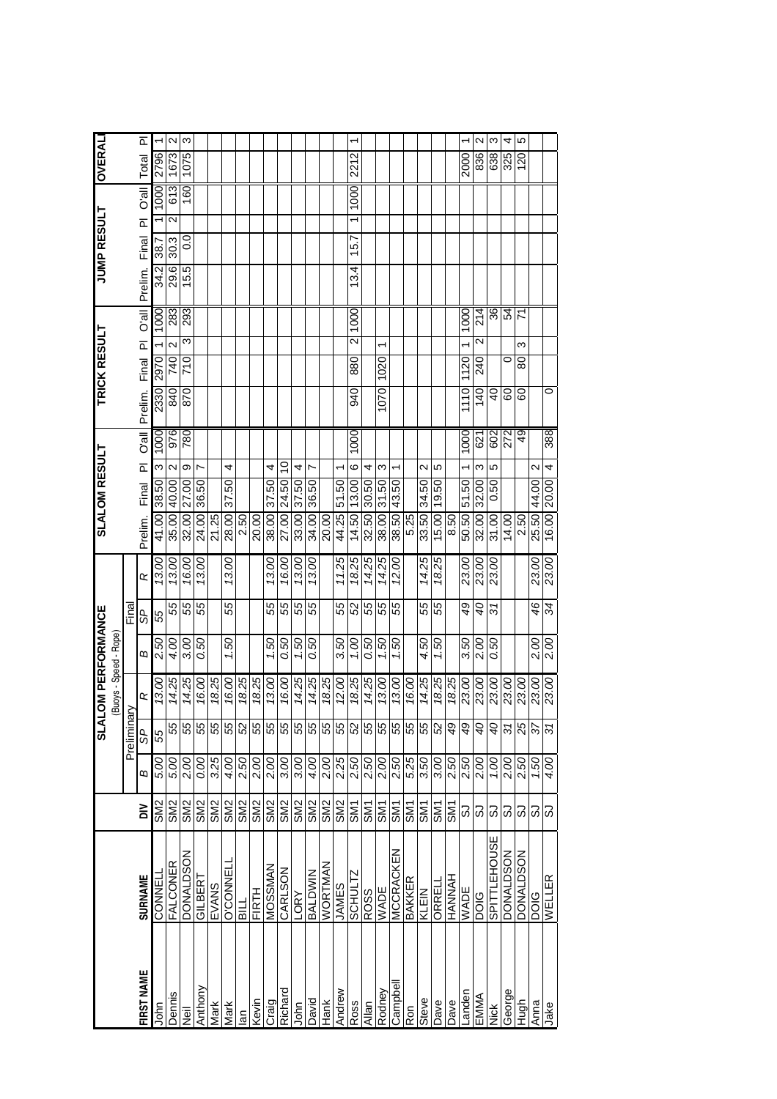|                |                        |                 |                     | <b>IVTS</b>              | <b>LOM PERFORMANCE</b> |      |             |       |             | <b>SLALOM RESULT</b> |                          |              | TRICK RESULT |       |                   |                | JUMP RESULT   |               |                         |       | <b>OVERAL</b> |                   |
|----------------|------------------------|-----------------|---------------------|--------------------------|------------------------|------|-------------|-------|-------------|----------------------|--------------------------|--------------|--------------|-------|-------------------|----------------|---------------|---------------|-------------------------|-------|---------------|-------------------|
|                |                        |                 |                     |                          | (Buoys - Speed - Rope  |      |             |       |             |                      |                          |              |              |       |                   |                |               |               |                         |       |               |                   |
|                |                        |                 |                     | Preliminary              |                        |      | Final       |       |             |                      |                          |              |              |       |                   |                |               |               |                         |       |               |                   |
| FIRST NAME     | <b>SURNAME</b>         | ă               | Б                   | SP                       | œ                      | ω    | SP          | œ     | Prelim.     | Final                | $\overline{\mathbf{a}}$  | <b>D'all</b> | Prelim.      | Final | PI O'all          |                | Prelim. Final |               | $\overline{\mathbf{a}}$ | Ule,O | Total         | ᇟ                 |
| John           | CONNEL                 | SM <sub>2</sub> | 5.00                | 55                       | 13.00                  | 2.50 | 55          | 13.00 | 41.00       | 38.50                | ω                        | 1000         | 2330         | 2970  |                   | 1000           | 34.2          | 38.7          |                         | 1000  | 2796          |                   |
| <b>Dennis</b>  | FALCONER               | SM <sub>2</sub> | 5.00                | 55                       | 14.25                  | 4.00 | 55          | 13.00 | 35.00       | 40.00                | 2                        | 976          | 840          | 740   | $\mathbf{\Omega}$ | 283            | 29.6          | 30.3          | 2                       | 613   | 1673          | $\mathbf{\Omega}$ |
| ⊽<br>≷         | <b>DONALDSON</b>       | SM <sub>2</sub> | 2.00                | 55                       | 14.25                  | 3.00 | 55          | 16.00 |             | 32.00 27.00          | თ                        | 780          | 870          | 710   | ო                 | 293            | 15.5          | $\frac{0}{2}$ |                         | 160   | 1075          | S                 |
| Anthony        | GILBERT                | SM <sub>2</sub> | 0.00                | 55                       | 16.00                  | 0.50 | 55          | 13.00 | 24.00       | 36.50                | N                        |              |              |       |                   |                |               |               |                         |       |               |                   |
| Mark           | EVANS                  | SM <sub>2</sub> | 3.25                | 55                       | 18.25                  |      |             |       | 21.25       |                      |                          |              |              |       |                   |                |               |               |                         |       |               |                   |
| Mark           | <b>O'CONNEL</b>        | SM <sub>2</sub> | 4.00                | 55                       | 16.00                  | 1.50 | 55          | 13.00 | 28.00       | 37.50                | 4                        |              |              |       |                   |                |               |               |                         |       |               |                   |
| $\overline{a}$ | BILL                   | SM <sub>2</sub> | 2.50                | S                        | 18.25                  |      |             |       | 2.50        |                      |                          |              |              |       |                   |                |               |               |                         |       |               |                   |
| Kevin          | <b>FIRTH</b>           | SM <sub>2</sub> | 2.00                | 55                       | 18.25                  |      |             |       | 20.00       |                      |                          |              |              |       |                   |                |               |               |                         |       |               |                   |
| Craig          | MOSSMAN                | SM <sub>2</sub> | 2.00                | 55                       | 13.00                  | 1.50 | 55          | 13.00 | 38.00       | 37.50                | 4                        |              |              |       |                   |                |               |               |                         |       |               |                   |
| Richard        | <b>ABOT</b><br>NOSTAVO | SM <sub>2</sub> | 3.00                | 55                       | 16.00                  | 0.50 | 55          | 16.00 | 27.00       | 24.50                | S                        |              |              |       |                   |                |               |               |                         |       |               |                   |
| John           |                        | SM <sub>2</sub> | 3.00                | 55                       | 14.25                  | 1.50 | 55          | 13.00 | 33.00       | 37.50                | 4                        |              |              |       |                   |                |               |               |                         |       |               |                   |
| David          | <b>BALDWIN</b>         | SM <sub>2</sub> | 4.00                | 55                       | 14.25                  | 0.50 | 55          | 13.00 | 34.00 36.50 |                      |                          |              |              |       |                   |                |               |               |                         |       |               |                   |
| Hank           | WORTMAN                | SM <sub>2</sub> | 2.00                | 55                       | 18.25                  |      |             |       | 20.00       |                      |                          |              |              |       |                   |                |               |               |                         |       |               |                   |
| Andrew         | SERVES                 | SM <sub>2</sub> | $\frac{2.25}{2.50}$ | 55                       | 12.00                  | 3.50 | 55          | 11.25 | 44.25       | 51.50                |                          |              |              |       |                   |                |               |               |                         |       |               |                   |
| <b>Ross</b>    | SCHULTZ                | SM <sub>1</sub> |                     | 52                       | 18.25                  | 001  | 8           | 18.25 | 14.50       | 13.00                | ဖ                        | 1000         | 940          | 880   | 2                 | 1000           | 13.4          | 15.7          |                         | 1000  | 2212          |                   |
| Allan          | <b>ROSS</b>            | <b>SM1</b>      | 2.50                | 55                       | 14.25                  | 0.50 | 55          | 14.25 | 32.50 30.50 |                      | 4                        |              |              |       |                   |                |               |               |                         |       |               |                   |
| Rodney         | <b>WADE</b>            | <b>SM1</b>      | 2.00                | 55                       | 13.00                  | 1.50 | 55          | 14.25 | 38.00 31.50 |                      | ო                        |              | 1070         | 1020  | ᡪ                 |                |               |               |                         |       |               |                   |
| Campbel        | MCCRACKEN              | <b>SM1</b>      | 2.50                | 55                       | 13.00                  | 1.50 | 55          | 12.00 | 38.50       | 43.50                | ۳                        |              |              |       |                   |                |               |               |                         |       |               |                   |
| Ron            | BAKKER                 | <b>EMS</b>      | 5.25                | 55                       | 16.00                  |      |             |       | 5.25        |                      |                          |              |              |       |                   |                |               |               |                         |       |               |                   |
| Steve          | KLEIN                  | <b>SM1</b>      | 3.50                | 55                       | 14.25                  | 4.50 | 55          | 14.25 | 33.50       | 34.50                | Ν                        |              |              |       |                   |                |               |               |                         |       |               |                   |
| Dave           | ORREL                  | <b>SM1</b>      | 3.00                | 52                       | 18.25                  | 097  | 55          | 18.25 | 15.00       | 19.50                | 5                        |              |              |       |                   |                |               |               |                         |       |               |                   |
| Dave           |                        | <b>SM</b>       | 2.50                | 49                       | 18.25                  |      |             |       | 8.50        |                      |                          |              |              |       |                   |                |               |               |                         |       |               |                   |
| -ander         | <b>WADE</b>            | ශ               | 2.50                | 49                       | 23.00                  | 3.50 | \$          | 23.00 | 50.50       | 51.50                | ↽                        | 1000         | 1110         | 1120  |                   | 1000           |               |               |                         |       | 2000          | ↽                 |
| EMMA           | <b>DOIG</b>            | යි              | 2.00                | $\partial^2$             | 23.00                  | 2.00 | $\sigma$    | 23.00 | 32.00       | 32.00                | ო                        | 621          | 140          | 240   | Ν                 | 214            |               |               |                         |       | 836           | $\mathbf{\Omega}$ |
| さ<br>Nick      | SPITTLEHOUSE           | ය               | 1.00                | db                       | 23.00                  | 0.50 | $\tilde{s}$ | 23.00 | 31.00       | 0.50                 | 5                        | 602          | $40 \,$      |       |                   | 36             |               |               |                         |       | 638           | ω                 |
| George         | <b>DONALDSON</b>       | 3               | 2.00                | $\tilde{s}$              | 23.00                  |      |             |       | 14.00       |                      |                          | 272          | 60           | 0     |                   | 54             |               |               |                         |       | 325           | 4                 |
| Hugh           | <b>DONALDSON</b>       | ශි              | 2.50                | 25                       | 23.00                  |      |             |       | 2.50        |                      |                          | 49           | 60           | 80    | ო                 | $\overline{r}$ |               |               |                         |       | 120           | မ                 |
| Anna           | <b>DOIG</b>            | ಸಿ ವ            | $\frac{1.50}{4.00}$ | $\overline{\mathcal{E}}$ | 23.00                  | 2.00 | 46          | 23.00 | 25.50       | 44.00                | $\scriptstyle\mathtt{N}$ |              |              |       |                   |                |               |               |                         |       |               |                   |
| Jake           | WELLER                 |                 |                     | $\overline{s}$           | 23.00                  | 2.00 | 34          | 23.00 | 16.00       | 20.00                | 4                        | 388          | 0            |       |                   |                |               |               |                         |       |               |                   |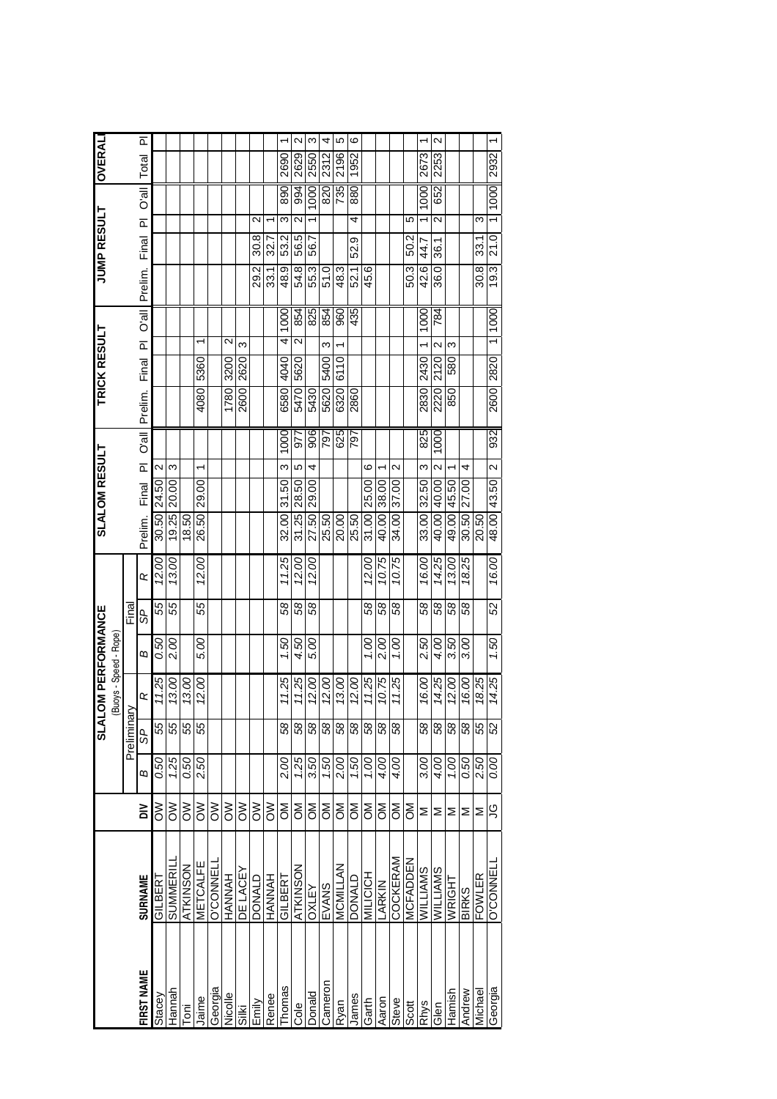|                 |                           |      | <b>IAJS</b>                                  | <b>LOM PERFORMANCE</b> |             |        |       |         | <b>SLALOM RESULT</b> |                                                                                                                                                                         |                                                                                                                                    | <b>TRICK RESULT</b>                                                    |                                                                                                        |                                                                                                   |                                                                                                                              | JUMP RESULT                                                             |                                                                                                                         |                                                                                              | <b>OVERALI</b> |                   |
|-----------------|---------------------------|------|----------------------------------------------|------------------------|-------------|--------|-------|---------|----------------------|-------------------------------------------------------------------------------------------------------------------------------------------------------------------------|------------------------------------------------------------------------------------------------------------------------------------|------------------------------------------------------------------------|--------------------------------------------------------------------------------------------------------|---------------------------------------------------------------------------------------------------|------------------------------------------------------------------------------------------------------------------------------|-------------------------------------------------------------------------|-------------------------------------------------------------------------------------------------------------------------|----------------------------------------------------------------------------------------------|----------------|-------------------|
|                 |                           |      |                                              |                        |             |        |       |         |                      |                                                                                                                                                                         |                                                                                                                                    |                                                                        |                                                                                                        |                                                                                                   |                                                                                                                              |                                                                         |                                                                                                                         |                                                                                              |                |                   |
|                 |                           |      |                                              | (Buoys - Speed - Rope  |             |        |       |         |                      |                                                                                                                                                                         |                                                                                                                                    |                                                                        |                                                                                                        |                                                                                                   |                                                                                                                              |                                                                         |                                                                                                                         |                                                                                              |                |                   |
|                 |                           |      |                                              |                        |             |        |       |         |                      |                                                                                                                                                                         |                                                                                                                                    |                                                                        |                                                                                                        |                                                                                                   |                                                                                                                              |                                                                         |                                                                                                                         |                                                                                              |                |                   |
|                 | $\geq$                    | Б    | SP                                           | œ                      | Б           | S<br>S | œ     | Prelim. |                      |                                                                                                                                                                         |                                                                                                                                    |                                                                        |                                                                                                        |                                                                                                   |                                                                                                                              |                                                                         | $\overline{\Omega}$                                                                                                     | <b>IIP</b> <sub>0</sub>                                                                      | Total          | ō                 |
| GILBERT         | కె                        | 0.50 | 55                                           | 11.25                  | 0.50        | 55     | 12.00 |         |                      |                                                                                                                                                                         |                                                                                                                                    |                                                                        |                                                                                                        |                                                                                                   |                                                                                                                              |                                                                         |                                                                                                                         |                                                                                              |                |                   |
| <b>SUMMERI</b>  | δ                         | 1.25 | 55                                           | 13.00                  | 2.00        | 55     | 13.00 | 19.25   |                      |                                                                                                                                                                         |                                                                                                                                    |                                                                        |                                                                                                        |                                                                                                   |                                                                                                                              |                                                                         |                                                                                                                         |                                                                                              |                |                   |
| ATKINSON        | š                         | 0.50 | 55                                           | 13.00                  |             |        |       | 18.50   |                      |                                                                                                                                                                         |                                                                                                                                    |                                                                        |                                                                                                        |                                                                                                   |                                                                                                                              |                                                                         |                                                                                                                         |                                                                                              |                |                   |
| METCALFE        | $\geqslant$               | 2.50 | 55                                           | 12.00                  | 5.00        | 55     | 12.00 | 26.50   |                      |                                                                                                                                                                         |                                                                                                                                    |                                                                        |                                                                                                        |                                                                                                   |                                                                                                                              |                                                                         |                                                                                                                         |                                                                                              |                |                   |
| <b>O'CONNEL</b> | š                         |      |                                              |                        |             |        |       |         |                      |                                                                                                                                                                         |                                                                                                                                    |                                                                        |                                                                                                        |                                                                                                   |                                                                                                                              |                                                                         |                                                                                                                         |                                                                                              |                |                   |
| HANNAH          | $\geqslant$               |      |                                              |                        |             |        |       |         |                      |                                                                                                                                                                         |                                                                                                                                    |                                                                        |                                                                                                        |                                                                                                   |                                                                                                                              |                                                                         |                                                                                                                         |                                                                                              |                |                   |
| DE LACEY        | $\geqslant$               |      |                                              |                        |             |        |       |         |                      |                                                                                                                                                                         |                                                                                                                                    |                                                                        |                                                                                                        |                                                                                                   |                                                                                                                              |                                                                         |                                                                                                                         |                                                                                              |                |                   |
| DONALD          | $\geqslant$               |      |                                              |                        |             |        |       |         |                      |                                                                                                                                                                         |                                                                                                                                    |                                                                        |                                                                                                        |                                                                                                   |                                                                                                                              |                                                                         | $\mathbf{\Omega}$                                                                                                       |                                                                                              |                |                   |
| HVNNV<br>H      | $\geqslant$               |      |                                              |                        |             |        |       |         |                      |                                                                                                                                                                         |                                                                                                                                    |                                                                        |                                                                                                        |                                                                                                   |                                                                                                                              |                                                                         |                                                                                                                         |                                                                                              |                |                   |
| <b>GILBERT</b>  | ŠΣ                        | 2.00 | 58                                           | 11.25                  | 1.50        | 89     | 11.25 | 32.00   |                      |                                                                                                                                                                         |                                                                                                                                    |                                                                        |                                                                                                        |                                                                                                   |                                                                                                                              |                                                                         | ω                                                                                                                       | 890                                                                                          | 2690           |                   |
| ATKINSON        | ŠΣ                        | 1.25 | 58                                           | 11.25                  | 4.50        | 58     | 12.00 |         |                      |                                                                                                                                                                         |                                                                                                                                    |                                                                        |                                                                                                        |                                                                                                   |                                                                                                                              |                                                                         | 2                                                                                                                       | 994                                                                                          | 2629           | $\sim$            |
| <b>A37XO</b>    | $\mathsf{M}^{\mathsf{D}}$ | 3.50 | 58                                           | 12.00                  | 5.00        | 8      | 12.00 | 27.50   |                      |                                                                                                                                                                         |                                                                                                                                    |                                                                        |                                                                                                        |                                                                                                   |                                                                                                                              |                                                                         |                                                                                                                         | 1000                                                                                         | 2550           | ო                 |
| EVANS           | ŠΣ                        | 1.50 | 58                                           | 12.00                  |             |        |       | 25.50   |                      |                                                                                                                                                                         |                                                                                                                                    |                                                                        |                                                                                                        |                                                                                                   |                                                                                                                              |                                                                         |                                                                                                                         | 820                                                                                          | 2312           | 4                 |
| MCMILLAN        | <b>NO</b>                 | 2.00 | 58                                           | 13.00                  |             |        |       | 20.00   |                      |                                                                                                                                                                         |                                                                                                                                    |                                                                        |                                                                                                        |                                                                                                   |                                                                                                                              |                                                                         |                                                                                                                         | 735                                                                                          | 2196           | 5                 |
| DONALD          | ŠΣ                        |      | 58                                           | 12.00                  |             |        |       | 25.50   |                      |                                                                                                                                                                         |                                                                                                                                    |                                                                        |                                                                                                        |                                                                                                   |                                                                                                                              |                                                                         | 4                                                                                                                       | 880                                                                                          | 1952           | ဖ                 |
| <b>MILICICH</b> | $\mathsf{M}_{\mathsf{O}}$ |      | 58                                           | 11.25                  | 00          | 89     | 12.00 |         |                      |                                                                                                                                                                         |                                                                                                                                    |                                                                        |                                                                                                        |                                                                                                   |                                                                                                                              |                                                                         |                                                                                                                         |                                                                                              |                |                   |
| LARKIN          | ŠΣ                        | 4.00 |                                              | 10.75                  | 2.00        | 89     | 10.75 |         |                      |                                                                                                                                                                         |                                                                                                                                    |                                                                        |                                                                                                        |                                                                                                   |                                                                                                                              |                                                                         |                                                                                                                         |                                                                                              |                |                   |
| COCKERAM        | $\mathsf{M}^{\mathsf{D}}$ |      | 58                                           | 11.25                  | 00.r        | 89     | 10.75 | 34.00   |                      |                                                                                                                                                                         |                                                                                                                                    |                                                                        |                                                                                                        |                                                                                                   |                                                                                                                              |                                                                         |                                                                                                                         |                                                                                              |                |                   |
| <b>MCFADDEN</b> | ŠΣ                        |      |                                              |                        |             |        |       |         |                      |                                                                                                                                                                         |                                                                                                                                    |                                                                        |                                                                                                        |                                                                                                   |                                                                                                                              |                                                                         | 5                                                                                                                       |                                                                                              |                |                   |
| WILLIAMS        | Σ                         | 3.00 | 58                                           | 16.00                  | 2.50        | 58     | 16.00 |         |                      |                                                                                                                                                                         |                                                                                                                                    |                                                                        |                                                                                                        |                                                                                                   |                                                                                                                              |                                                                         |                                                                                                                         | 1000                                                                                         | 2673           |                   |
| <b>WILLIAMS</b> | Σ                         | 4.00 | 58                                           | 14.25                  | 4.00        | 8      | 14.25 |         |                      |                                                                                                                                                                         |                                                                                                                                    |                                                                        |                                                                                                        |                                                                                                   |                                                                                                                              |                                                                         | $\mathbf{\Omega}$                                                                                                       | 652                                                                                          | 2253           | $\mathbf{\Omega}$ |
| WRIGHT          | ⋝                         | 00   | 58                                           | 12.00                  | 3.50        | 89     | 13.00 | 49.00   |                      |                                                                                                                                                                         |                                                                                                                                    |                                                                        |                                                                                                        |                                                                                                   |                                                                                                                              |                                                                         |                                                                                                                         |                                                                                              |                |                   |
| <b>BIRKS</b>    | ⋝                         |      | 58                                           | 16.00                  | 3.00        | 89     | 18.25 | 30.50   |                      |                                                                                                                                                                         |                                                                                                                                    |                                                                        |                                                                                                        |                                                                                                   |                                                                                                                              |                                                                         |                                                                                                                         |                                                                                              |                |                   |
| FOWLER          | Σ                         |      | 55                                           | 18.25                  |             |        |       | 20.50   |                      |                                                                                                                                                                         |                                                                                                                                    |                                                                        |                                                                                                        |                                                                                                   |                                                                                                                              |                                                                         | ω                                                                                                                       |                                                                                              |                |                   |
| <b>O'CONNEL</b> | ട്ട                       | 0.00 | 52                                           | 14.25                  | 1.50        | 8      | 16.00 | 48.00   |                      |                                                                                                                                                                         |                                                                                                                                    |                                                                        |                                                                                                        |                                                                                                   |                                                                                                                              |                                                                         |                                                                                                                         |                                                                                              |                | $\overline{ }$    |
|                 | <b>SURNAME</b>            |      | $\frac{20}{1.50}$<br>$rac{50}{2.50}$<br>4.00 | 58                     | Preliminary |        | Final |         |                      | 43.50<br>30.50 24.50<br>40.00 38.00<br>40.00 40.00<br>29.00<br>31.25 28.50<br>31.00 25.00<br>33.00 32.50<br>45.50<br>27.00<br>31.50<br>29.00<br>37.00<br>20.00<br>Final | $\overline{\Omega}$<br>$\sim$<br>$\mathbf{\sim}$<br>ω<br>ω<br>4<br>$\mathbf{\Omega}$<br>$\mathbf{\Omega}$<br>ю<br>ဖ<br>ო<br>4<br>۳ | 932<br>906<br>625<br>825<br>797<br>1000<br>797<br>1000<br>O'all<br>577 | 2830<br>2220<br>5470<br>2600<br>5620<br>1780<br>6580<br>6320<br>4080<br>5430<br>850<br>2860<br>Prelim. | 2600 2820<br>5400<br>2430<br>2120<br>3200<br>4040<br>6110<br>Final<br>5360<br>2620<br>5620<br>580 | $\overline{\phantom{0}}$<br>$\mathbf{\Omega}$<br>4<br>$\mathbf{\Omega}$<br>$\overline{\Omega}$<br>ᡪ<br>ო<br>$\sim$<br>ω<br>ო | 1000<br>854<br>825<br>854<br>435<br>lle,O<br>1000<br>784<br>1000<br>960 | 54.8<br>42.6<br>48.9<br>50.3<br>30.8<br>19.3<br>55.3<br>29.2<br>51.0<br>48.3<br>45.6<br>36.0<br>Prelim.<br>33.1<br>52.1 | 30.8<br>5.5<br>50.2<br>21.0<br>53.2<br>Final<br>32.7<br>56.7<br>52.9<br>33.1<br>44.7<br>36.1 | 1000           | 2932              |